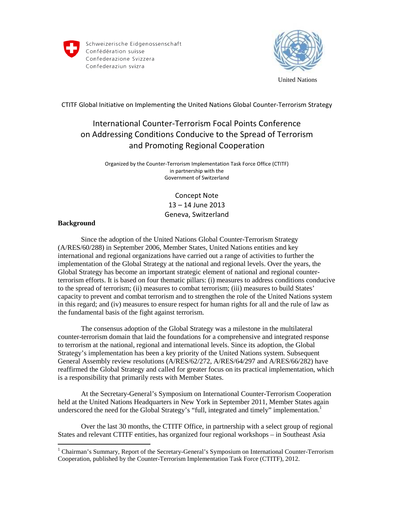

Schweizerische Eidgenossenschaft Confédération suisse Confederazione Svizzera Confederaziun svizra



United Nations

CTITF Global Initiative on Implementing the United Nations Global Counter-Terrorism Strategy

# International Counter-Terrorism Focal Points Conference on Addressing Conditions Conducive to the Spread of Terrorism and Promoting Regional Cooperation

Organized by the Counter-Terrorism Implementation Task Force Office (CTITF) in partnership with the Government of Switzerland

> Concept Note 13 – 14 June 2013 Geneva, Switzerland

# **Background**

Since the adoption of the United Nations Global Counter-Terrorism Strategy (A/RES/60/288) in September 2006, Member States, United Nations entities and key international and regional organizations have carried out a range of activities to further the implementation of the Global Strategy at the national and regional levels. Over the years, the Global Strategy has become an important strategic element of national and regional counterterrorism efforts. It is based on four thematic pillars: (i) measures to address conditions conducive to the spread of terrorism; (ii) measures to combat terrorism; (iii) measures to build States' capacity to prevent and combat terrorism and to strengthen the role of the United Nations system in this regard; and (iv) measures to ensure respect for human rights for all and the rule of law as the fundamental basis of the fight against terrorism.

The consensus adoption of the Global Strategy was a milestone in the multilateral counter-terrorism domain that laid the foundations for a comprehensive and integrated response to terrorism at the national, regional and international levels. Since its adoption, the Global Strategy's implementation has been a key priority of the United Nations system. Subsequent General Assembly review resolutions (A/RES/62/272, A/RES/64/297 and A/RES/66/282) have reaffirmed the Global Strategy and called for greater focus on its practical implementation, which is a responsibility that primarily rests with Member States.

At the Secretary-General's Symposium on International Counter-Terrorism Cooperation held at the United Nations Headquarters in New York in September 2011, Member States again underscored the need for the Global Strategy's "full, integrated and timely" implementation.<sup>1</sup>

Over the last 30 months, the CTITF Office, in partnership with a select group of regional States and relevant CTITF entities, has organized four regional workshops – in Southeast Asia

 1 Chairman's Summary, Report of the Secretary-General's Symposium on International Counter-Terrorism Cooperation, published by the Counter-Terrorism Implementation Task Force (CTITF), 2012.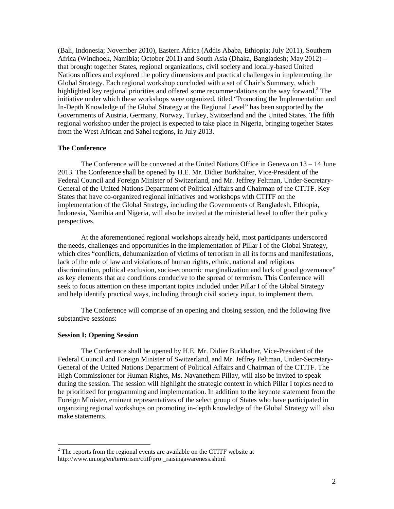(Bali, Indonesia; November 2010), Eastern Africa (Addis Ababa, Ethiopia; July 2011), Southern Africa (Windhoek, Namibia; October 2011) and South Asia (Dhaka, Bangladesh; May 2012) – that brought together States, regional organizations, civil society and locally-based United Nations offices and explored the policy dimensions and practical challenges in implementing the Global Strategy. Each regional workshop concluded with a set of Chair's Summary, which highlighted key regional priorities and offered some recommendations on the way forward.<sup>2</sup> The initiative under which these workshops were organized, titled "Promoting the Implementation and In-Depth Knowledge of the Global Strategy at the Regional Level" has been supported by the Governments of Austria, Germany, Norway, Turkey, Switzerland and the United States. The fifth regional workshop under the project is expected to take place in Nigeria, bringing together States from the West African and Sahel regions, in July 2013.

# **The Conference**

 The Conference will be convened at the United Nations Office in Geneva on 13 – 14 June 2013. The Conference shall be opened by H.E. Mr. Didier Burkhalter, Vice-President of the Federal Council and Foreign Minister of Switzerland, and Mr. Jeffrey Feltman, Under-Secretary-General of the United Nations Department of Political Affairs and Chairman of the CTITF. Key States that have co-organized regional initiatives and workshops with CTITF on the implementation of the Global Strategy, including the Governments of Bangladesh, Ethiopia, Indonesia, Namibia and Nigeria, will also be invited at the ministerial level to offer their policy perspectives.

 At the aforementioned regional workshops already held, most participants underscored the needs, challenges and opportunities in the implementation of Pillar I of the Global Strategy, which cites "conflicts, dehumanization of victims of terrorism in all its forms and manifestations, lack of the rule of law and violations of human rights, ethnic, national and religious discrimination, political exclusion, socio-economic marginalization and lack of good governance" as key elements that are conditions conducive to the spread of terrorism. This Conference will seek to focus attention on these important topics included under Pillar I of the Global Strategy and help identify practical ways, including through civil society input, to implement them.

 The Conference will comprise of an opening and closing session, and the following five substantive sessions:

## **Session I: Opening Session**

 The Conference shall be opened by H.E. Mr. Didier Burkhalter, Vice-President of the Federal Council and Foreign Minister of Switzerland, and Mr. Jeffrey Feltman, Under-Secretary-General of the United Nations Department of Political Affairs and Chairman of the CTITF. The High Commissioner for Human Rights, Ms. Navanethem Pillay, will also be invited to speak during the session. The session will highlight the strategic context in which Pillar I topics need to be prioritized for programming and implementation. In addition to the keynote statement from the Foreign Minister, eminent representatives of the select group of States who have participated in organizing regional workshops on promoting in-depth knowledge of the Global Strategy will also make statements.

<sup>&</sup>lt;sup>2</sup> The reports from the regional events are available on the CTITF website at http://www.un.org/en/terrorism/ctitf/proj\_raisingawareness.shtml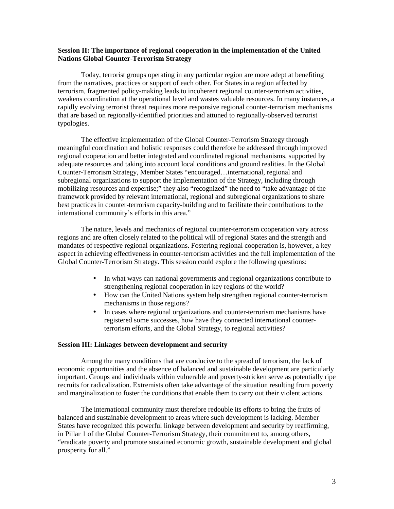# **Session II: The importance of regional cooperation in the implementation of the United Nations Global Counter-Terrorism Strategy**

Today, terrorist groups operating in any particular region are more adept at benefiting from the narratives, practices or support of each other. For States in a region affected by terrorism, fragmented policy-making leads to incoherent regional counter-terrorism activities, weakens coordination at the operational level and wastes valuable resources. In many instances, a rapidly evolving terrorist threat requires more responsive regional counter-terrorism mechanisms that are based on regionally-identified priorities and attuned to regionally-observed terrorist typologies.

The effective implementation of the Global Counter-Terrorism Strategy through meaningful coordination and holistic responses could therefore be addressed through improved regional cooperation and better integrated and coordinated regional mechanisms, supported by adequate resources and taking into account local conditions and ground realities. In the Global Counter-Terrorism Strategy, Member States "encouraged…international, regional and subregional organizations to support the implementation of the Strategy, including through mobilizing resources and expertise;" they also "recognized" the need to "take advantage of the framework provided by relevant international, regional and subregional organizations to share best practices in counter-terrorism capacity-building and to facilitate their contributions to the international community's efforts in this area."

The nature, levels and mechanics of regional counter-terrorism cooperation vary across regions and are often closely related to the political will of regional States and the strength and mandates of respective regional organizations. Fostering regional cooperation is, however, a key aspect in achieving effectiveness in counter-terrorism activities and the full implementation of the Global Counter-Terrorism Strategy. This session could explore the following questions:

- In what ways can national governments and regional organizations contribute to strengthening regional cooperation in key regions of the world?
- How can the United Nations system help strengthen regional counter-terrorism mechanisms in those regions?
- In cases where regional organizations and counter-terrorism mechanisms have registered some successes, how have they connected international counterterrorism efforts, and the Global Strategy, to regional activities?

#### **Session III: Linkages between development and security**

Among the many conditions that are conducive to the spread of terrorism, the lack of economic opportunities and the absence of balanced and sustainable development are particularly important. Groups and individuals within vulnerable and poverty-stricken serve as potentially ripe recruits for radicalization. Extremists often take advantage of the situation resulting from poverty and marginalization to foster the conditions that enable them to carry out their violent actions.

The international community must therefore redouble its efforts to bring the fruits of balanced and sustainable development to areas where such development is lacking. Member States have recognized this powerful linkage between development and security by reaffirming, in Pillar 1 of the Global Counter-Terrorism Strategy, their commitment to, among others, "eradicate poverty and promote sustained economic growth, sustainable development and global prosperity for all."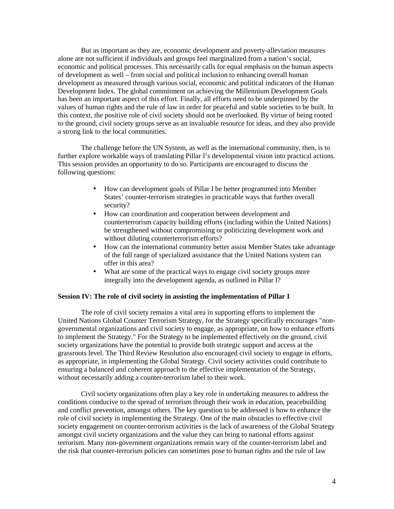But as important as they are, economic development and poverty-alleviation measures alone are not sufficient if individuals and groups feel marginalized from a nation's social, economic and political processes. This necessarily calls for equal emphasis on the human aspects of development as well – from social and political inclusion to enhancing overall human development as measured through various social, economic and political indicators of the Human Development Index. The global commitment on achieving the Millennium Development Goals has been an important aspect of this effort. Finally, all efforts need to be underpinned by the values of human rights and the rule of law in order for peaceful and stable societies to be built. In this context, the positive role of civil society should not be overlooked. By virtue of being rooted to the ground, civil society groups serve as an invaluable resource for ideas, and they also provide a strong link to the local communities.

The challenge before the UN System, as well as the international community, then, is to further explore workable ways of translating Pillar I's developmental vision into practical actions. This session provides an opportunity to do so. Participants are encouraged to discuss the following questions:

- How can development goals of Pillar I be better programmed into Member States' counter-terrorism strategies in practicable ways that further overall security?
- How can coordination and cooperation between development and counterterrorism capacity building efforts (including within the United Nations) be strengthened without compromising or politicizing development work and without diluting counterterrorism efforts?
- How can the international community better assist Member States take advantage of the full range of specialized assistance that the United Nations system can offer in this area?
- What are some of the practical ways to engage civil society groups more integrally into the development agenda, as outlined in Pillar I?

## **Session IV: The role of civil society in assisting the implementation of Pillar I**

The role of civil society remains a vital area in supporting efforts to implement the United Nations Global Counter Terrorism Strategy, for the Strategy specifically encourages "nongovernmental organizations and civil society to engage, as appropriate, on how to enhance efforts to implement the Strategy." For the Strategy to be implemented effectively on the ground, civil society organizations have the potential to provide both strategic support and access at the grassroots level. The Third Review Resolution also encouraged civil society to engage in efforts, as appropriate, in implementing the Global Strategy. Civil society activities could contribute to ensuring a balanced and coherent approach to the effective implementation of the Strategy, without necessarily adding a counter-terrorism label to their work.

Civil society organizations often play a key role in undertaking measures to address the conditions conducive to the spread of terrorism through their work in education, peacebuilding and conflict prevention, amongst others. The key question to be addressed is how to enhance the role of civil society in implementing the Strategy. One of the main obstacles to effective civil society engagement on counter-terrorism activities is the lack of awareness of the Global Strategy amongst civil society organizations and the value they can bring to national efforts against terrorism. Many non-government organizations remain wary of the counter-terrorism label and the risk that counter-terrorism policies can sometimes pose to human rights and the rule of law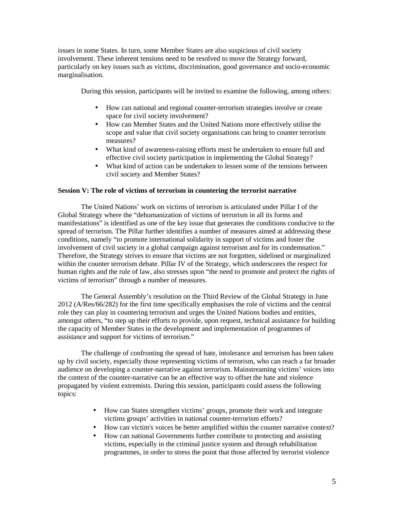issues in some States. In turn, some Member States are also suspicious of civil society involvement. These inherent tensions need to be resolved to move the Strategy forward, particularly on key issues such as victims, discrimination, good governance and socio-economic marginalisation.

During this session, participants will be invited to examine the following, among others:

- How can national and regional counter-terrorism strategies involve or create space for civil society involvement?
- How can Member States and the United Nations more effectively utilise the scope and value that civil society organisations can bring to counter terrorism measures?
- What kind of awareness-raising efforts must be undertaken to ensure full and effective civil society participation in implementing the Global Strategy?
- What kind of action can be undertaken to lessen some of the tensions between civil society and Member States?

# **Session V: The role of victims of terrorism in countering the terrorist narrative**

 The United Nations' work on victims of terrorism is articulated under Pillar I of the Global Strategy where the "dehumanization of victims of terrorism in all its forms and manifestations" is identified as one of the key issue that generates the conditions conducive to the spread of terrorism. The Pillar further identifies a number of measures aimed at addressing these conditions, namely "to promote international solidarity in support of victims and foster the involvement of civil society in a global campaign against terrorism and for its condemnation." Therefore, the Strategy strives to ensure that victims are not forgotten, sidelined or marginalized within the counter terrorism debate. Pillar IV of the Strategy, which underscores the respect for human rights and the rule of law, also stresses upon "the need to promote and protect the rights of victims of terrorism" through a number of measures.

The General Assembly's resolution on the Third Review of the Global Strategy in June 2012 (A/Res/66/282) for the first time specifically emphasises the role of victims and the central role they can play in countering terrorism and urges the United Nations bodies and entities, amongst others, "to step up their efforts to provide, upon request, technical assistance for building the capacity of Member States in the development and implementation of programmes of assistance and support for victims of terrorism."

The challenge of confronting the spread of hate, intolerance and terrorism has been taken up by civil society, especially those representing victims of terrorism, who can reach a far broader audience on developing a counter-narrative against terrorism. Mainstreaming victims' voices into the context of the counter-narrative can be an effective way to offset the hate and violence propagated by violent extremists. During this session, participants could assess the following topics:

- How can States strengthen victims' groups, promote their work and integrate victims groups' activities in national counter-terrorism efforts?
- How can victim's voices be better amplified within the counter narrative context?
- How can national Governments further contribute to protecting and assisting victims, especially in the criminal justice system and through rehabilitation programmes, in order to stress the point that those affected by terrorist violence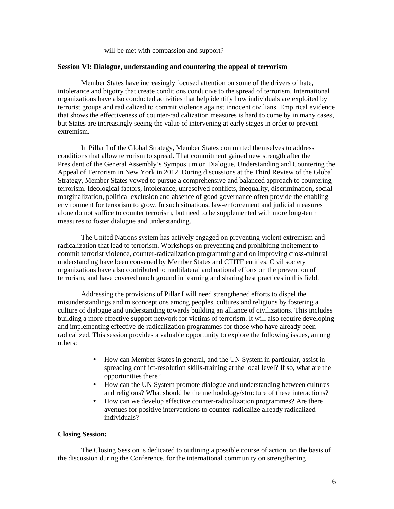will be met with compassion and support?

#### **Session VI: Dialogue, understanding and countering the appeal of terrorism**

 Member States have increasingly focused attention on some of the drivers of hate, intolerance and bigotry that create conditions conducive to the spread of terrorism. International organizations have also conducted activities that help identify how individuals are exploited by terrorist groups and radicalized to commit violence against innocent civilians. Empirical evidence that shows the effectiveness of counter-radicalization measures is hard to come by in many cases, but States are increasingly seeing the value of intervening at early stages in order to prevent extremism.

 In Pillar I of the Global Strategy, Member States committed themselves to address conditions that allow terrorism to spread. That commitment gained new strength after the President of the General Assembly's Symposium on Dialogue, Understanding and Countering the Appeal of Terrorism in New York in 2012. During discussions at the Third Review of the Global Strategy, Member States vowed to pursue a comprehensive and balanced approach to countering terrorism. Ideological factors, intolerance, unresolved conflicts, inequality, discrimination, social marginalization, political exclusion and absence of good governance often provide the enabling environment for terrorism to grow. In such situations, law-enforcement and judicial measures alone do not suffice to counter terrorism, but need to be supplemented with more long-term measures to foster dialogue and understanding.

The United Nations system has actively engaged on preventing violent extremism and radicalization that lead to terrorism. Workshops on preventing and prohibiting incitement to commit terrorist violence, counter-radicalization programming and on improving cross-cultural understanding have been convened by Member States and CTITF entities. Civil society organizations have also contributed to multilateral and national efforts on the prevention of terrorism, and have covered much ground in learning and sharing best practices in this field.

Addressing the provisions of Pillar I will need strengthened efforts to dispel the misunderstandings and misconceptions among peoples, cultures and religions by fostering a culture of dialogue and understanding towards building an alliance of civilizations. This includes building a more effective support network for victims of terrorism. It will also require developing and implementing effective de-radicalization programmes for those who have already been radicalized. This session provides a valuable opportunity to explore the following issues, among others:

- How can Member States in general, and the UN System in particular, assist in spreading conflict-resolution skills-training at the local level? If so, what are the opportunities there?
- How can the UN System promote dialogue and understanding between cultures and religions? What should be the methodology/structure of these interactions?
- How can we develop effective counter-radicalization programmes? Are there avenues for positive interventions to counter-radicalize already radicalized individuals?

#### **Closing Session:**

 The Closing Session is dedicated to outlining a possible course of action, on the basis of the discussion during the Conference, for the international community on strengthening